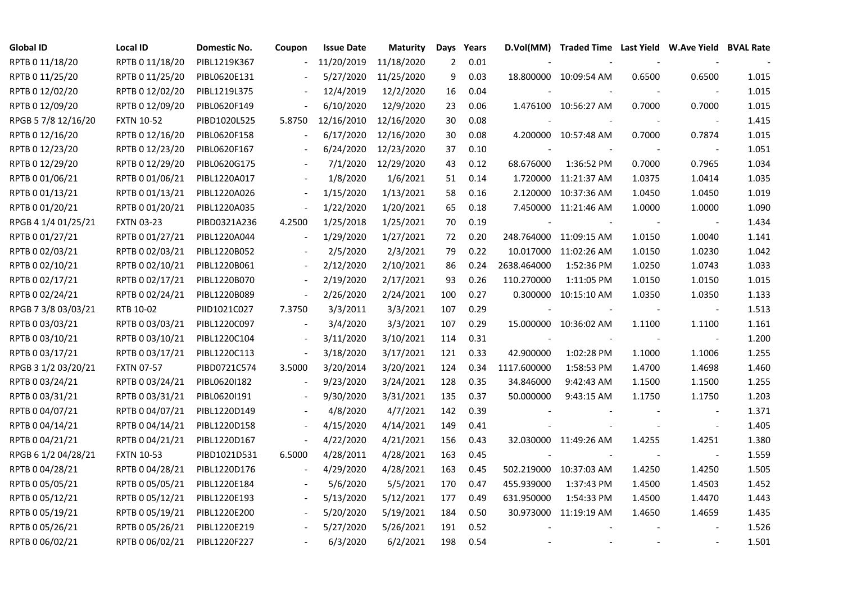| <b>Global ID</b>    | <b>Local ID</b>   | Domestic No. | Coupon                   | <b>Issue Date</b> | <b>Maturity</b> | Days | Years |                          | D.Vol(MM) Traded Time Last Yield W.Ave Yield BVAL Rate |        |                          |       |
|---------------------|-------------------|--------------|--------------------------|-------------------|-----------------|------|-------|--------------------------|--------------------------------------------------------|--------|--------------------------|-------|
| RPTB 0 11/18/20     | RPTB 0 11/18/20   | PIBL1219K367 |                          | 11/20/2019        | 11/18/2020      | 2    | 0.01  |                          |                                                        |        |                          |       |
| RPTB 0 11/25/20     | RPTB 0 11/25/20   | PIBL0620E131 |                          | 5/27/2020         | 11/25/2020      | 9    | 0.03  |                          | 18.800000 10:09:54 AM                                  | 0.6500 | 0.6500                   | 1.015 |
| RPTB 0 12/02/20     | RPTB 0 12/02/20   | PIBL1219L375 |                          | 12/4/2019         | 12/2/2020       | 16   | 0.04  |                          |                                                        |        |                          | 1.015 |
| RPTB 0 12/09/20     | RPTB 0 12/09/20   | PIBL0620F149 | $\blacksquare$           | 6/10/2020         | 12/9/2020       | 23   | 0.06  |                          | 1.476100 10:56:27 AM                                   | 0.7000 | 0.7000                   | 1.015 |
| RPGB 5 7/8 12/16/20 | <b>FXTN 10-52</b> | PIBD1020L525 | 5.8750                   | 12/16/2010        | 12/16/2020      | 30   | 0.08  |                          |                                                        |        | $\overline{\phantom{a}}$ | 1.415 |
| RPTB 0 12/16/20     | RPTB 0 12/16/20   | PIBL0620F158 |                          | 6/17/2020         | 12/16/2020      | 30   | 0.08  |                          | 4.200000 10:57:48 AM                                   | 0.7000 | 0.7874                   | 1.015 |
| RPTB 0 12/23/20     | RPTB 0 12/23/20   | PIBL0620F167 |                          | 6/24/2020         | 12/23/2020      | 37   | 0.10  |                          |                                                        |        |                          | 1.051 |
| RPTB 0 12/29/20     | RPTB 0 12/29/20   | PIBL0620G175 |                          | 7/1/2020          | 12/29/2020      | 43   | 0.12  | 68.676000                | 1:36:52 PM                                             | 0.7000 | 0.7965                   | 1.034 |
| RPTB 0 01/06/21     | RPTB 0 01/06/21   | PIBL1220A017 |                          | 1/8/2020          | 1/6/2021        | 51   | 0.14  | 1.720000                 | 11:21:37 AM                                            | 1.0375 | 1.0414                   | 1.035 |
| RPTB 0 01/13/21     | RPTB 0 01/13/21   | PIBL1220A026 | $\overline{\phantom{a}}$ | 1/15/2020         | 1/13/2021       | 58   | 0.16  | 2.120000                 | 10:37:36 AM                                            | 1.0450 | 1.0450                   | 1.019 |
| RPTB 0 01/20/21     | RPTB 0 01/20/21   | PIBL1220A035 | $\overline{\phantom{a}}$ | 1/22/2020         | 1/20/2021       | 65   | 0.18  | 7.450000                 | 11:21:46 AM                                            | 1.0000 | 1.0000                   | 1.090 |
| RPGB 4 1/4 01/25/21 | <b>FXTN 03-23</b> | PIBD0321A236 | 4.2500                   | 1/25/2018         | 1/25/2021       | 70   | 0.19  |                          |                                                        |        | $\overline{\phantom{a}}$ | 1.434 |
| RPTB 0 01/27/21     | RPTB 0 01/27/21   | PIBL1220A044 | $\overline{\phantom{a}}$ | 1/29/2020         | 1/27/2021       | 72   | 0.20  |                          | 248.764000 11:09:15 AM                                 | 1.0150 | 1.0040                   | 1.141 |
| RPTB 0 02/03/21     | RPTB 0 02/03/21   | PIBL1220B052 |                          | 2/5/2020          | 2/3/2021        | 79   | 0.22  | 10.017000                | 11:02:26 AM                                            | 1.0150 | 1.0230                   | 1.042 |
| RPTB 0 02/10/21     | RPTB 0 02/10/21   | PIBL1220B061 |                          | 2/12/2020         | 2/10/2021       | 86   | 0.24  | 2638.464000              | 1:52:36 PM                                             | 1.0250 | 1.0743                   | 1.033 |
| RPTB 0 02/17/21     | RPTB 002/17/21    | PIBL1220B070 | $\overline{\phantom{a}}$ | 2/19/2020         | 2/17/2021       | 93   | 0.26  | 110.270000               | 1:11:05 PM                                             | 1.0150 | 1.0150                   | 1.015 |
| RPTB 0 02/24/21     | RPTB 0 02/24/21   | PIBL1220B089 | $\overline{\phantom{a}}$ | 2/26/2020         | 2/24/2021       | 100  | 0.27  |                          | 0.300000 10:15:10 AM                                   | 1.0350 | 1.0350                   | 1.133 |
| RPGB 7 3/8 03/03/21 | RTB 10-02         | PIID1021C027 | 7.3750                   | 3/3/2011          | 3/3/2021        | 107  | 0.29  |                          |                                                        |        | $\overline{\phantom{a}}$ | 1.513 |
| RPTB 0 03/03/21     | RPTB 0 03/03/21   | PIBL1220C097 |                          | 3/4/2020          | 3/3/2021        | 107  | 0.29  |                          | 15.000000 10:36:02 AM                                  | 1.1100 | 1.1100                   | 1.161 |
| RPTB 0 03/10/21     | RPTB 0 03/10/21   | PIBL1220C104 | $\overline{\phantom{a}}$ | 3/11/2020         | 3/10/2021       | 114  | 0.31  | $\overline{\phantom{a}}$ | $\sim$                                                 |        | $\overline{\phantom{a}}$ | 1.200 |
| RPTB 0 03/17/21     | RPTB 0 03/17/21   | PIBL1220C113 | $\overline{\phantom{a}}$ | 3/18/2020         | 3/17/2021       | 121  | 0.33  | 42.900000                | 1:02:28 PM                                             | 1.1000 | 1.1006                   | 1.255 |
| RPGB 3 1/2 03/20/21 | <b>FXTN 07-57</b> | PIBD0721C574 | 3.5000                   | 3/20/2014         | 3/20/2021       | 124  | 0.34  | 1117.600000              | 1:58:53 PM                                             | 1.4700 | 1.4698                   | 1.460 |
| RPTB 0 03/24/21     | RPTB 0 03/24/21   | PIBL06201182 | $\overline{a}$           | 9/23/2020         | 3/24/2021       | 128  | 0.35  | 34.846000                | 9:42:43 AM                                             | 1.1500 | 1.1500                   | 1.255 |
| RPTB 0 03/31/21     | RPTB 0 03/31/21   | PIBL0620I191 | $\overline{\phantom{a}}$ | 9/30/2020         | 3/31/2021       | 135  | 0.37  | 50.000000                | 9:43:15 AM                                             | 1.1750 | 1.1750                   | 1.203 |
| RPTB 0 04/07/21     | RPTB 0 04/07/21   | PIBL1220D149 |                          | 4/8/2020          | 4/7/2021        | 142  | 0.39  |                          |                                                        |        | $\overline{\phantom{a}}$ | 1.371 |
| RPTB 0 04/14/21     | RPTB 0 04/14/21   | PIBL1220D158 |                          | 4/15/2020         | 4/14/2021       | 149  | 0.41  |                          |                                                        |        | $\overline{\phantom{a}}$ | 1.405 |
| RPTB 0 04/21/21     | RPTB 0 04/21/21   | PIBL1220D167 | $\overline{\phantom{a}}$ | 4/22/2020         | 4/21/2021       | 156  | 0.43  |                          | 32.030000 11:49:26 AM                                  | 1.4255 | 1.4251                   | 1.380 |
| RPGB 6 1/2 04/28/21 | <b>FXTN 10-53</b> | PIBD1021D531 | 6.5000                   | 4/28/2011         | 4/28/2021       | 163  | 0.45  |                          |                                                        |        | $\blacksquare$           | 1.559 |
| RPTB 0 04/28/21     | RPTB 0 04/28/21   | PIBL1220D176 | $\blacksquare$           | 4/29/2020         | 4/28/2021       | 163  | 0.45  |                          | 502.219000 10:37:03 AM                                 | 1.4250 | 1.4250                   | 1.505 |
| RPTB 0 05/05/21     | RPTB 0 05/05/21   | PIBL1220E184 | $\overline{\phantom{a}}$ | 5/6/2020          | 5/5/2021        | 170  | 0.47  | 455.939000               | 1:37:43 PM                                             | 1.4500 | 1.4503                   | 1.452 |
| RPTB 0 05/12/21     | RPTB 0 05/12/21   | PIBL1220E193 | $\overline{\phantom{a}}$ | 5/13/2020         | 5/12/2021       | 177  | 0.49  | 631.950000               | 1:54:33 PM                                             | 1.4500 | 1.4470                   | 1.443 |
| RPTB 0 05/19/21     | RPTB 0 05/19/21   | PIBL1220E200 |                          | 5/20/2020         | 5/19/2021       | 184  | 0.50  | 30.973000                | 11:19:19 AM                                            | 1.4650 | 1.4659                   | 1.435 |
| RPTB 0 05/26/21     | RPTB 0 05/26/21   | PIBL1220E219 |                          | 5/27/2020         | 5/26/2021       | 191  | 0.52  |                          |                                                        |        |                          | 1.526 |
| RPTB 0 06/02/21     | RPTB 0 06/02/21   | PIBL1220F227 |                          | 6/3/2020          | 6/2/2021        | 198  | 0.54  |                          |                                                        |        |                          | 1.501 |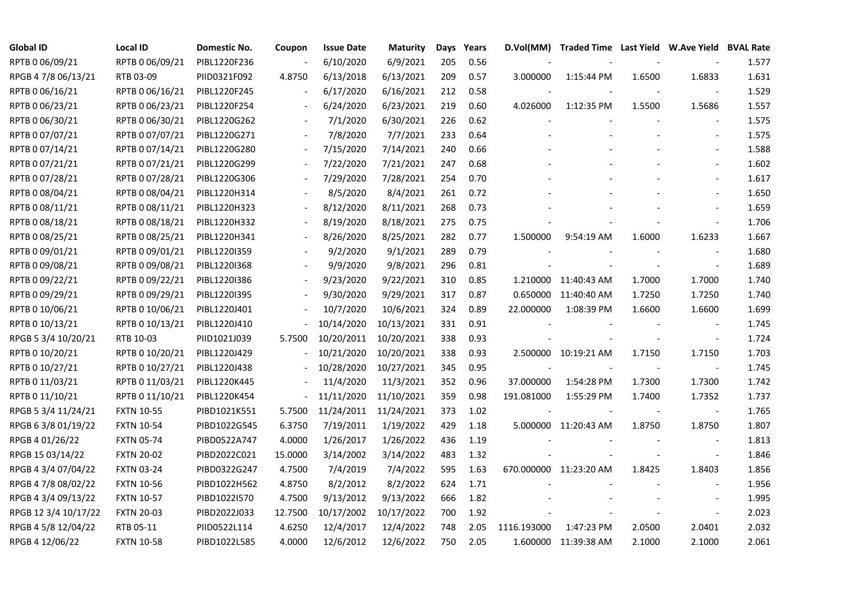| <b>Global ID</b>     | <b>Local ID</b>   | Domestic No. | Coupon                   | <b>Issue Date</b> | <b>Maturity</b> |     | Days Years |             | D.Vol(MM) Traded Time Last Yield W.Ave Yield BVAL Rate |        |                          |       |
|----------------------|-------------------|--------------|--------------------------|-------------------|-----------------|-----|------------|-------------|--------------------------------------------------------|--------|--------------------------|-------|
| RPTB 0 06/09/21      | RPTB 0 06/09/21   | PIBL1220F236 |                          | 6/10/2020         | 6/9/2021        | 205 | 0.56       |             |                                                        |        |                          | 1.577 |
| RPGB 4 7/8 06/13/21  | RTB 03-09         | PIID0321F092 | 4.8750                   | 6/13/2018         | 6/13/2021       | 209 | 0.57       | 3.000000    | 1:15:44 PM                                             | 1.6500 | 1.6833                   | 1.631 |
| RPTB 0 06/16/21      | RPTB 0 06/16/21   | PIBL1220F245 |                          | 6/17/2020         | 6/16/2021       | 212 | 0.58       |             |                                                        |        |                          | 1.529 |
| RPTB 0 06/23/21      | RPTB 0 06/23/21   | PIBL1220F254 | $\overline{\phantom{a}}$ | 6/24/2020         | 6/23/2021       | 219 | 0.60       | 4.026000    | 1:12:35 PM                                             | 1.5500 | 1.5686                   | 1.557 |
| RPTB 0 06/30/21      | RPTB 0 06/30/21   | PIBL1220G262 |                          | 7/1/2020          | 6/30/2021       | 226 | 0.62       |             |                                                        |        |                          | 1.575 |
| RPTB 0 07/07/21      | RPTB 0 07/07/21   | PIBL1220G271 |                          | 7/8/2020          | 7/7/2021        | 233 | 0.64       |             |                                                        |        | $\overline{\phantom{a}}$ | 1.575 |
| RPTB 0 07/14/21      | RPTB 007/14/21    | PIBL1220G280 |                          | 7/15/2020         | 7/14/2021       | 240 | 0.66       |             |                                                        |        |                          | 1.588 |
| RPTB 0 07/21/21      | RPTB 0 07/21/21   | PIBL1220G299 |                          | 7/22/2020         | 7/21/2021       | 247 | 0.68       |             |                                                        |        | $\blacksquare$           | 1.602 |
| RPTB 0 07/28/21      | RPTB 0 07/28/21   | PIBL1220G306 |                          | 7/29/2020         | 7/28/2021       | 254 | 0.70       |             |                                                        |        |                          | 1.617 |
| RPTB 0 08/04/21      | RPTB 0 08/04/21   | PIBL1220H314 |                          | 8/5/2020          | 8/4/2021        | 261 | 0.72       |             |                                                        |        |                          | 1.650 |
| RPTB 0 08/11/21      | RPTB 0 08/11/21   | PIBL1220H323 |                          | 8/12/2020         | 8/11/2021       | 268 | 0.73       |             |                                                        |        |                          | 1.659 |
| RPTB 0 08/18/21      | RPTB 0 08/18/21   | PIBL1220H332 |                          | 8/19/2020         | 8/18/2021       | 275 | 0.75       |             |                                                        |        | $\blacksquare$           | 1.706 |
| RPTB 0 08/25/21      | RPTB 0 08/25/21   | PIBL1220H341 |                          | 8/26/2020         | 8/25/2021       | 282 | 0.77       | 1.500000    | 9:54:19 AM                                             | 1.6000 | 1.6233                   | 1.667 |
| RPTB 0 09/01/21      | RPTB 0 09/01/21   | PIBL1220I359 |                          | 9/2/2020          | 9/1/2021        | 289 | 0.79       |             |                                                        |        |                          | 1.680 |
| RPTB 0 09/08/21      | RPTB 0 09/08/21   | PIBL1220I368 |                          | 9/9/2020          | 9/8/2021        | 296 | 0.81       |             |                                                        |        |                          | 1.689 |
| RPTB 0 09/22/21      | RPTB 0 09/22/21   | PIBL1220I386 |                          | 9/23/2020         | 9/22/2021       | 310 | 0.85       |             | 1.210000 11:40:43 AM                                   | 1.7000 | 1.7000                   | 1.740 |
| RPTB 0 09/29/21      | RPTB 0 09/29/21   | PIBL1220I395 | $\overline{\phantom{a}}$ | 9/30/2020         | 9/29/2021       | 317 | 0.87       |             | 0.650000 11:40:40 AM                                   | 1.7250 | 1.7250                   | 1.740 |
| RPTB 0 10/06/21      | RPTB 0 10/06/21   | PIBL1220J401 |                          | 10/7/2020         | 10/6/2021       | 324 | 0.89       | 22.000000   | 1:08:39 PM                                             | 1.6600 | 1.6600                   | 1.699 |
| RPTB 0 10/13/21      | RPTB 0 10/13/21   | PIBL1220J410 | $\blacksquare$           | 10/14/2020        | 10/13/2021      | 331 | 0.91       |             |                                                        |        | $\overline{\phantom{a}}$ | 1.745 |
| RPGB 5 3/4 10/20/21  | RTB 10-03         | PIID1021J039 | 5.7500                   | 10/20/2011        | 10/20/2021      | 338 | 0.93       |             |                                                        |        | $\overline{\phantom{a}}$ | 1.724 |
| RPTB 0 10/20/21      | RPTB 0 10/20/21   | PIBL1220J429 |                          | 10/21/2020        | 10/20/2021      | 338 | 0.93       |             | 2.500000 10:19:21 AM                                   | 1.7150 | 1.7150                   | 1.703 |
| RPTB 0 10/27/21      | RPTB 0 10/27/21   | PIBL1220J438 |                          | 10/28/2020        | 10/27/2021      | 345 | 0.95       |             |                                                        |        |                          | 1.745 |
| RPTB 0 11/03/21      | RPTB 0 11/03/21   | PIBL1220K445 |                          | 11/4/2020         | 11/3/2021       | 352 | 0.96       | 37.000000   | 1:54:28 PM                                             | 1.7300 | 1.7300                   | 1.742 |
| RPTB 0 11/10/21      | RPTB 0 11/10/21   | PIBL1220K454 | $\overline{\phantom{a}}$ | 11/11/2020        | 11/10/2021      | 359 | 0.98       | 191.081000  | 1:55:29 PM                                             | 1.7400 | 1.7352                   | 1.737 |
| RPGB 5 3/4 11/24/21  | <b>FXTN 10-55</b> | PIBD1021K551 | 5.7500                   | 11/24/2011        | 11/24/2021      | 373 | 1.02       |             |                                                        |        | $\overline{\phantom{a}}$ | 1.765 |
| RPGB 6 3/8 01/19/22  | <b>FXTN 10-54</b> | PIBD1022G545 | 6.3750                   | 7/19/2011         | 1/19/2022       | 429 | 1.18       |             | 5.000000 11:20:43 AM                                   | 1.8750 | 1.8750                   | 1.807 |
| RPGB 4 01/26/22      | <b>FXTN 05-74</b> | PIBD0522A747 | 4.0000                   | 1/26/2017         | 1/26/2022       | 436 | 1.19       |             |                                                        |        |                          | 1.813 |
| RPGB 15 03/14/22     | <b>FXTN 20-02</b> | PIBD2022C021 | 15.0000                  | 3/14/2002         | 3/14/2022       | 483 | 1.32       |             |                                                        |        | $\overline{\phantom{a}}$ | 1.846 |
| RPGB 4 3/4 07/04/22  | <b>FXTN 03-24</b> | PIBD0322G247 | 4.7500                   | 7/4/2019          | 7/4/2022        | 595 | 1.63       |             | 670.000000 11:23:20 AM                                 | 1.8425 | 1.8403                   | 1.856 |
| RPGB 4 7/8 08/02/22  | <b>FXTN 10-56</b> | PIBD1022H562 | 4.8750                   | 8/2/2012          | 8/2/2022        | 624 | 1.71       |             |                                                        |        |                          | 1.956 |
| RPGB 4 3/4 09/13/22  | <b>FXTN 10-57</b> | PIBD1022I570 | 4.7500                   | 9/13/2012         | 9/13/2022       | 666 | 1.82       |             |                                                        |        |                          | 1.995 |
| RPGB 12 3/4 10/17/22 | <b>FXTN 20-03</b> | PIBD2022J033 | 12.7500                  | 10/17/2002        | 10/17/2022      | 700 | 1.92       |             |                                                        |        | $\blacksquare$           | 2.023 |
| RPGB 4 5/8 12/04/22  | RTB 05-11         | PIID0522L114 | 4.6250                   | 12/4/2017         | 12/4/2022       | 748 | 2.05       | 1116.193000 | 1:47:23 PM                                             | 2.0500 | 2.0401                   | 2.032 |
| RPGB 4 12/06/22      | <b>FXTN 10-58</b> | PIBD1022L585 | 4.0000                   | 12/6/2012         | 12/6/2022       | 750 | 2.05       |             | 1.600000 11:39:38 AM                                   | 2.1000 | 2.1000                   | 2.061 |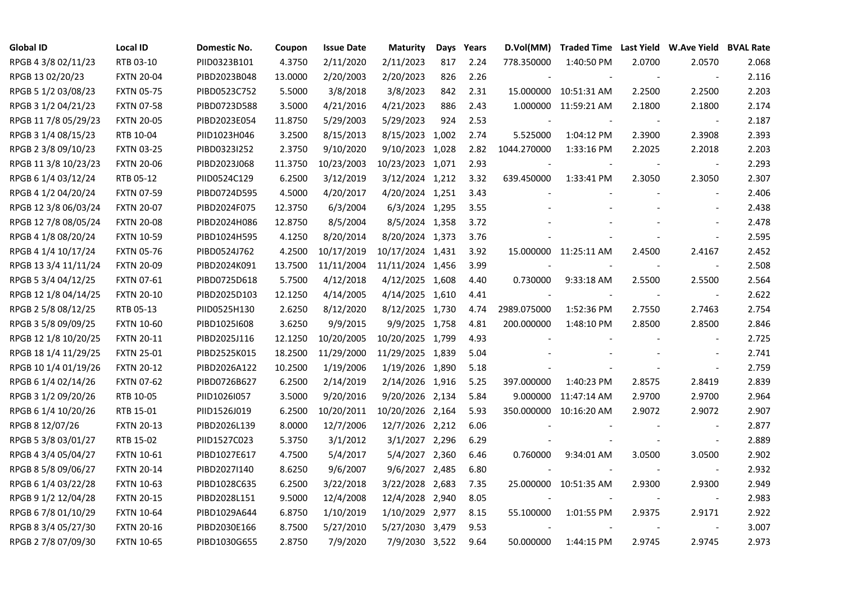| <b>Global ID</b>     | <b>Local ID</b>   | Domestic No. | Coupon  | <b>Issue Date</b> | <b>Maturity</b>  |     | Days Years | D.Vol(MM)   | Traded Time Last Yield W.Ave Yield BVAL Rate |        |                          |       |
|----------------------|-------------------|--------------|---------|-------------------|------------------|-----|------------|-------------|----------------------------------------------|--------|--------------------------|-------|
| RPGB 4 3/8 02/11/23  | RTB 03-10         | PIID0323B101 | 4.3750  | 2/11/2020         | 2/11/2023        | 817 | 2.24       | 778.350000  | 1:40:50 PM                                   | 2.0700 | 2.0570                   | 2.068 |
| RPGB 13 02/20/23     | <b>FXTN 20-04</b> | PIBD2023B048 | 13.0000 | 2/20/2003         | 2/20/2023        | 826 | 2.26       |             |                                              |        | $\overline{\phantom{a}}$ | 2.116 |
| RPGB 5 1/2 03/08/23  | <b>FXTN 05-75</b> | PIBD0523C752 | 5.5000  | 3/8/2018          | 3/8/2023         | 842 | 2.31       |             | 15.000000 10:51:31 AM                        | 2.2500 | 2.2500                   | 2.203 |
| RPGB 3 1/2 04/21/23  | <b>FXTN 07-58</b> | PIBD0723D588 | 3.5000  | 4/21/2016         | 4/21/2023        | 886 | 2.43       |             | 1.000000 11:59:21 AM                         | 2.1800 | 2.1800                   | 2.174 |
| RPGB 11 7/8 05/29/23 | <b>FXTN 20-05</b> | PIBD2023E054 | 11.8750 | 5/29/2003         | 5/29/2023        | 924 | 2.53       |             |                                              |        | $\overline{\phantom{a}}$ | 2.187 |
| RPGB 3 1/4 08/15/23  | RTB 10-04         | PIID1023H046 | 3.2500  | 8/15/2013         | 8/15/2023 1,002  |     | 2.74       | 5.525000    | 1:04:12 PM                                   | 2.3900 | 2.3908                   | 2.393 |
| RPGB 2 3/8 09/10/23  | <b>FXTN 03-25</b> | PIBD0323I252 | 2.3750  | 9/10/2020         | 9/10/2023 1,028  |     | 2.82       | 1044.270000 | 1:33:16 PM                                   | 2.2025 | 2.2018                   | 2.203 |
| RPGB 11 3/8 10/23/23 | <b>FXTN 20-06</b> | PIBD2023J068 | 11.3750 | 10/23/2003        | 10/23/2023 1,071 |     | 2.93       |             |                                              |        | $\overline{\phantom{a}}$ | 2.293 |
| RPGB 6 1/4 03/12/24  | RTB 05-12         | PIID0524C129 | 6.2500  | 3/12/2019         | 3/12/2024 1,212  |     | 3.32       | 639.450000  | 1:33:41 PM                                   | 2.3050 | 2.3050                   | 2.307 |
| RPGB 4 1/2 04/20/24  | <b>FXTN 07-59</b> | PIBD0724D595 | 4.5000  | 4/20/2017         | 4/20/2024 1,251  |     | 3.43       |             |                                              |        |                          | 2.406 |
| RPGB 12 3/8 06/03/24 | <b>FXTN 20-07</b> | PIBD2024F075 | 12.3750 | 6/3/2004          | 6/3/2024 1,295   |     | 3.55       |             |                                              |        |                          | 2.438 |
| RPGB 12 7/8 08/05/24 | <b>FXTN 20-08</b> | PIBD2024H086 | 12.8750 | 8/5/2004          | 8/5/2024 1,358   |     | 3.72       |             |                                              |        |                          | 2.478 |
| RPGB 4 1/8 08/20/24  | <b>FXTN 10-59</b> | PIBD1024H595 | 4.1250  | 8/20/2014         | 8/20/2024 1,373  |     | 3.76       |             |                                              |        | $\blacksquare$           | 2.595 |
| RPGB 4 1/4 10/17/24  | <b>FXTN 05-76</b> | PIBD0524J762 | 4.2500  | 10/17/2019        | 10/17/2024 1,431 |     | 3.92       |             | 15.000000 11:25:11 AM                        | 2.4500 | 2.4167                   | 2.452 |
| RPGB 13 3/4 11/11/24 | <b>FXTN 20-09</b> | PIBD2024K091 | 13.7500 | 11/11/2004        | 11/11/2024 1,456 |     | 3.99       |             |                                              |        | $\overline{\phantom{a}}$ | 2.508 |
| RPGB 5 3/4 04/12/25  | FXTN 07-61        | PIBD0725D618 | 5.7500  | 4/12/2018         | 4/12/2025 1,608  |     | 4.40       | 0.730000    | 9:33:18 AM                                   | 2.5500 | 2.5500                   | 2.564 |
| RPGB 12 1/8 04/14/25 | <b>FXTN 20-10</b> | PIBD2025D103 | 12.1250 | 4/14/2005         | 4/14/2025 1,610  |     | 4.41       |             |                                              |        | $\overline{\phantom{a}}$ | 2.622 |
| RPGB 2 5/8 08/12/25  | RTB 05-13         | PIID0525H130 | 2.6250  | 8/12/2020         | 8/12/2025 1,730  |     | 4.74       | 2989.075000 | 1:52:36 PM                                   | 2.7550 | 2.7463                   | 2.754 |
| RPGB 3 5/8 09/09/25  | <b>FXTN 10-60</b> | PIBD1025I608 | 3.6250  | 9/9/2015          | 9/9/2025 1,758   |     | 4.81       | 200.000000  | 1:48:10 PM                                   | 2.8500 | 2.8500                   | 2.846 |
| RPGB 12 1/8 10/20/25 | <b>FXTN 20-11</b> | PIBD2025J116 | 12.1250 | 10/20/2005        | 10/20/2025 1,799 |     | 4.93       |             |                                              |        | $\sim$                   | 2.725 |
| RPGB 18 1/4 11/29/25 | <b>FXTN 25-01</b> | PIBD2525K015 | 18.2500 | 11/29/2000        | 11/29/2025 1,839 |     | 5.04       |             |                                              |        |                          | 2.741 |
| RPGB 10 1/4 01/19/26 | <b>FXTN 20-12</b> | PIBD2026A122 | 10.2500 | 1/19/2006         | 1/19/2026 1,890  |     | 5.18       |             |                                              |        |                          | 2.759 |
| RPGB 6 1/4 02/14/26  | <b>FXTN 07-62</b> | PIBD0726B627 | 6.2500  | 2/14/2019         | 2/14/2026 1,916  |     | 5.25       | 397.000000  | 1:40:23 PM                                   | 2.8575 | 2.8419                   | 2.839 |
| RPGB 3 1/2 09/20/26  | RTB 10-05         | PIID1026I057 | 3.5000  | 9/20/2016         | 9/20/2026 2,134  |     | 5.84       | 9.000000    | 11:47:14 AM                                  | 2.9700 | 2.9700                   | 2.964 |
| RPGB 6 1/4 10/20/26  | RTB 15-01         | PIID1526J019 | 6.2500  | 10/20/2011        | 10/20/2026 2,164 |     | 5.93       | 350.000000  | 10:16:20 AM                                  | 2.9072 | 2.9072                   | 2.907 |
| RPGB 8 12/07/26      | <b>FXTN 20-13</b> | PIBD2026L139 | 8.0000  | 12/7/2006         | 12/7/2026 2,212  |     | 6.06       |             |                                              |        | $\overline{\phantom{a}}$ | 2.877 |
| RPGB 5 3/8 03/01/27  | RTB 15-02         | PIID1527C023 | 5.3750  | 3/1/2012          | 3/1/2027 2,296   |     | 6.29       |             |                                              |        | $\blacksquare$           | 2.889 |
| RPGB 4 3/4 05/04/27  | FXTN 10-61        | PIBD1027E617 | 4.7500  | 5/4/2017          | 5/4/2027 2,360   |     | 6.46       | 0.760000    | 9:34:01 AM                                   | 3.0500 | 3.0500                   | 2.902 |
| RPGB 8 5/8 09/06/27  | <b>FXTN 20-14</b> | PIBD2027I140 | 8.6250  | 9/6/2007          | 9/6/2027 2,485   |     | 6.80       |             |                                              |        | $\overline{\phantom{a}}$ | 2.932 |
| RPGB 6 1/4 03/22/28  | <b>FXTN 10-63</b> | PIBD1028C635 | 6.2500  | 3/22/2018         | 3/22/2028 2,683  |     | 7.35       |             | 25.000000 10:51:35 AM                        | 2.9300 | 2.9300                   | 2.949 |
| RPGB 9 1/2 12/04/28  | <b>FXTN 20-15</b> | PIBD2028L151 | 9.5000  | 12/4/2008         | 12/4/2028 2,940  |     | 8.05       |             |                                              |        | $\overline{\phantom{a}}$ | 2.983 |
| RPGB 6 7/8 01/10/29  | <b>FXTN 10-64</b> | PIBD1029A644 | 6.8750  | 1/10/2019         | 1/10/2029 2,977  |     | 8.15       | 55.100000   | 1:01:55 PM                                   | 2.9375 | 2.9171                   | 2.922 |
| RPGB 8 3/4 05/27/30  | <b>FXTN 20-16</b> | PIBD2030E166 | 8.7500  | 5/27/2010         | 5/27/2030 3,479  |     | 9.53       |             |                                              |        | $\overline{\phantom{a}}$ | 3.007 |
| RPGB 2 7/8 07/09/30  | <b>FXTN 10-65</b> | PIBD1030G655 | 2.8750  | 7/9/2020          | 7/9/2030 3,522   |     | 9.64       | 50.000000   | 1:44:15 PM                                   | 2.9745 | 2.9745                   | 2.973 |